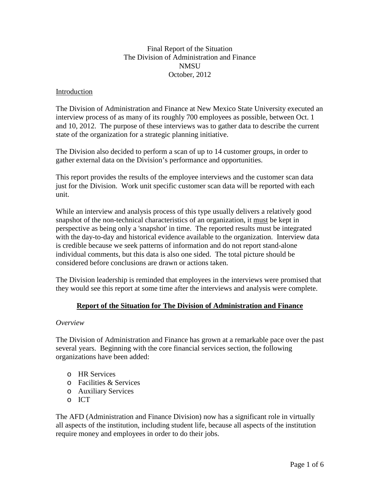### Final Report of the Situation The Division of Administration and Finance **NMSU** October, 2012

#### Introduction

The Division of Administration and Finance at New Mexico State University executed an interview process of as many of its roughly 700 employees as possible, between Oct. 1 and 10, 2012. The purpose of these interviews was to gather data to describe the current state of the organization for a strategic planning initiative.

The Division also decided to perform a scan of up to 14 customer groups, in order to gather external data on the Division's performance and opportunities.

This report provides the results of the employee interviews and the customer scan data just for the Division. Work unit specific customer scan data will be reported with each unit.

While an interview and analysis process of this type usually delivers a relatively good snapshot of the non-technical characteristics of an organization, it must be kept in perspective as being only a 'snapshot' in time. The reported results must be integrated with the day-to-day and historical evidence available to the organization. Interview data is credible because we seek patterns of information and do not report stand-alone individual comments, but this data is also one sided. The total picture should be considered before conclusions are drawn or actions taken.

The Division leadership is reminded that employees in the interviews were promised that they would see this report at some time after the interviews and analysis were complete.

# **Report of the Situation for The Division of Administration and Finance**

# *Overview*

The Division of Administration and Finance has grown at a remarkable pace over the past several years. Beginning with the core financial services section, the following organizations have been added:

- o HR Services
- o Facilities & Services
- o Auxiliary Services
- o ICT

The AFD (Administration and Finance Division) now has a significant role in virtually all aspects of the institution, including student life, because all aspects of the institution require money and employees in order to do their jobs.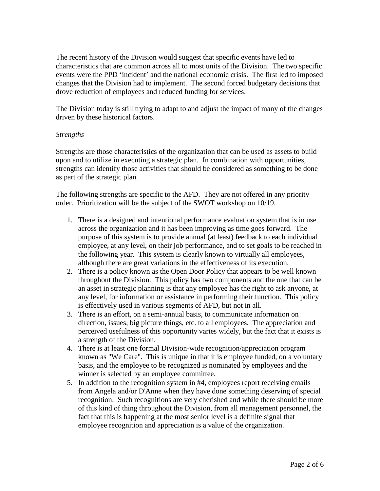The recent history of the Division would suggest that specific events have led to characteristics that are common across all to most units of the Division. The two specific events were the PPD 'incident' and the national economic crisis. The first led to imposed changes that the Division had to implement. The second forced budgetary decisions that drove reduction of employees and reduced funding for services.

The Division today is still trying to adapt to and adjust the impact of many of the changes driven by these historical factors.

#### *Strengths*

Strengths are those characteristics of the organization that can be used as assets to build upon and to utilize in executing a strategic plan. In combination with opportunities, strengths can identify those activities that should be considered as something to be done as part of the strategic plan.

The following strengths are specific to the AFD. They are not offered in any priority order. Prioritization will be the subject of the SWOT workshop on 10/19.

- 1. There is a designed and intentional performance evaluation system that is in use across the organization and it has been improving as time goes forward. The purpose of this system is to provide annual (at least) feedback to each individual employee, at any level, on their job performance, and to set goals to be reached in the following year. This system is clearly known to virtually all employees, although there are great variations in the effectiveness of its execution.
- 2. There is a policy known as the Open Door Policy that appears to be well known throughout the Division. This policy has two components and the one that can be an asset in strategic planning is that any employee has the right to ask anyone, at any level, for information or assistance in performing their function. This policy is effectively used in various segments of AFD, but not in all.
- 3. There is an effort, on a semi-annual basis, to communicate information on direction, issues, big picture things, etc. to all employees. The appreciation and perceived usefulness of this opportunity varies widely, but the fact that it exists is a strength of the Division.
- 4. There is at least one formal Division-wide recognition/appreciation program known as "We Care". This is unique in that it is employee funded, on a voluntary basis, and the employee to be recognized is nominated by employees and the winner is selected by an employee committee.
- 5. In addition to the recognition system in #4, employees report receiving emails from Angela and/or D'Anne when they have done something deserving of special recognition. Such recognitions are very cherished and while there should be more of this kind of thing throughout the Division, from all management personnel, the fact that this is happening at the most senior level is a definite signal that employee recognition and appreciation is a value of the organization.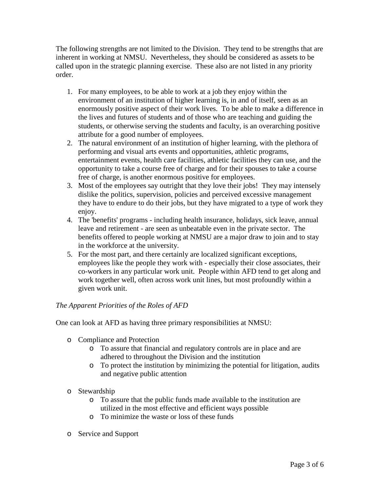The following strengths are not limited to the Division. They tend to be strengths that are inherent in working at NMSU. Nevertheless, they should be considered as assets to be called upon in the strategic planning exercise. These also are not listed in any priority order.

- 1. For many employees, to be able to work at a job they enjoy within the environment of an institution of higher learning is, in and of itself, seen as an enormously positive aspect of their work lives. To be able to make a difference in the lives and futures of students and of those who are teaching and guiding the students, or otherwise serving the students and faculty, is an overarching positive attribute for a good number of employees.
- 2. The natural environment of an institution of higher learning, with the plethora of performing and visual arts events and opportunities, athletic programs, entertainment events, health care facilities, athletic facilities they can use, and the opportunity to take a course free of charge and for their spouses to take a course free of charge, is another enormous positive for employees.
- 3. Most of the employees say outright that they love their jobs! They may intensely dislike the politics, supervision, policies and perceived excessive management they have to endure to do their jobs, but they have migrated to a type of work they enjoy.
- 4. The 'benefits' programs including health insurance, holidays, sick leave, annual leave and retirement - are seen as unbeatable even in the private sector. The benefits offered to people working at NMSU are a major draw to join and to stay in the workforce at the university.
- 5. For the most part, and there certainly are localized significant exceptions, employees like the people they work with - especially their close associates, their co-workers in any particular work unit. People within AFD tend to get along and work together well, often across work unit lines, but most profoundly within a given work unit.

# *The Apparent Priorities of the Roles of AFD*

One can look at AFD as having three primary responsibilities at NMSU:

- o Compliance and Protection
	- o To assure that financial and regulatory controls are in place and are adhered to throughout the Division and the institution
	- o To protect the institution by minimizing the potential for litigation, audits and negative public attention
- o Stewardship
	- o To assure that the public funds made available to the institution are utilized in the most effective and efficient ways possible
	- o To minimize the waste or loss of these funds
- o Service and Support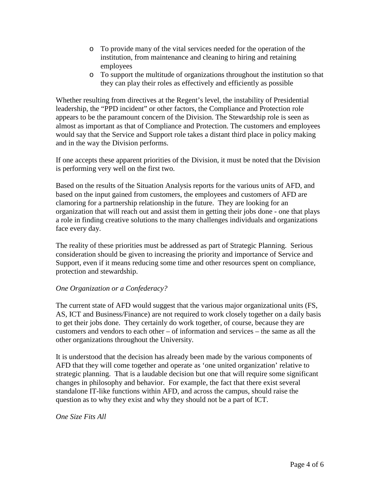- o To provide many of the vital services needed for the operation of the institution, from maintenance and cleaning to hiring and retaining employees
- o To support the multitude of organizations throughout the institution so that they can play their roles as effectively and efficiently as possible

Whether resulting from directives at the Regent's level, the instability of Presidential leadership, the "PPD incident" or other factors, the Compliance and Protection role appears to be the paramount concern of the Division. The Stewardship role is seen as almost as important as that of Compliance and Protection. The customers and employees would say that the Service and Support role takes a distant third place in policy making and in the way the Division performs.

If one accepts these apparent priorities of the Division, it must be noted that the Division is performing very well on the first two.

Based on the results of the Situation Analysis reports for the various units of AFD, and based on the input gained from customers, the employees and customers of AFD are clamoring for a partnership relationship in the future. They are looking for an organization that will reach out and assist them in getting their jobs done - one that plays a role in finding creative solutions to the many challenges individuals and organizations face every day.

The reality of these priorities must be addressed as part of Strategic Planning. Serious consideration should be given to increasing the priority and importance of Service and Support, even if it means reducing some time and other resources spent on compliance, protection and stewardship.

#### *One Organization or a Confederacy?*

The current state of AFD would suggest that the various major organizational units (FS, AS, ICT and Business/Finance) are not required to work closely together on a daily basis to get their jobs done. They certainly do work together, of course, because they are customers and vendors to each other – of information and services – the same as all the other organizations throughout the University.

It is understood that the decision has already been made by the various components of AFD that they will come together and operate as 'one united organization' relative to strategic planning. That is a laudable decision but one that will require some significant changes in philosophy and behavior. For example, the fact that there exist several standalone IT-like functions within AFD, and across the campus, should raise the question as to why they exist and why they should not be a part of ICT.

*One Size Fits All*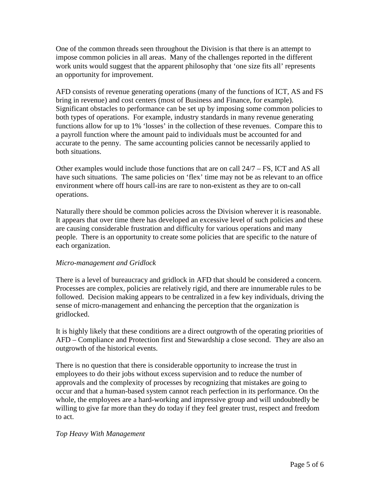One of the common threads seen throughout the Division is that there is an attempt to impose common policies in all areas. Many of the challenges reported in the different work units would suggest that the apparent philosophy that 'one size fits all' represents an opportunity for improvement.

AFD consists of revenue generating operations (many of the functions of ICT, AS and FS bring in revenue) and cost centers (most of Business and Finance, for example). Significant obstacles to performance can be set up by imposing some common policies to both types of operations. For example, industry standards in many revenue generating functions allow for up to 1% 'losses' in the collection of these revenues. Compare this to a payroll function where the amount paid to individuals must be accounted for and accurate to the penny. The same accounting policies cannot be necessarily applied to both situations.

Other examples would include those functions that are on call 24/7 – FS, ICT and AS all have such situations. The same policies on 'flex' time may not be as relevant to an office environment where off hours call-ins are rare to non-existent as they are to on-call operations.

Naturally there should be common policies across the Division wherever it is reasonable. It appears that over time there has developed an excessive level of such policies and these are causing considerable frustration and difficulty for various operations and many people. There is an opportunity to create some policies that are specific to the nature of each organization.

# *Micro-management and Gridlock*

There is a level of bureaucracy and gridlock in AFD that should be considered a concern. Processes are complex, policies are relatively rigid, and there are innumerable rules to be followed. Decision making appears to be centralized in a few key individuals, driving the sense of micro-management and enhancing the perception that the organization is gridlocked.

It is highly likely that these conditions are a direct outgrowth of the operating priorities of AFD – Compliance and Protection first and Stewardship a close second. They are also an outgrowth of the historical events.

There is no question that there is considerable opportunity to increase the trust in employees to do their jobs without excess supervision and to reduce the number of approvals and the complexity of processes by recognizing that mistakes are going to occur and that a human-based system cannot reach perfection in its performance. On the whole, the employees are a hard-working and impressive group and will undoubtedly be willing to give far more than they do today if they feel greater trust, respect and freedom to act.

# *Top Heavy With Management*